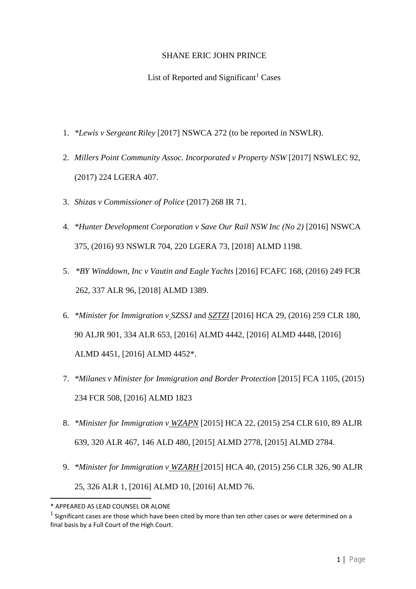## SHANE ERIC JOHN PRINCE

## List of Reported and Significant<sup>[1](#page-0-0)</sup> Cases

- 1. *\*Lewis v Sergeant Riley* [2017] NSWCA 272 (to be reported in NSWLR).
- 2. *Millers Point Community Assoc. Incorporated v Property NSW* [2017] NSWLEC 92, (2017) 224 LGERA 407.
- 3. *Shizas v Commissioner of Police* (2017) 268 IR 71.
- 4. *\*Hunter Development Corporation v Save Our Rail NSW Inc (No 2)* [2016] NSWCA 375, (2016) 93 NSWLR 704, 220 LGERA 73, [2018] ALMD 1198.
- 5. *\*BY Winddown, Inc v Vautin and Eagle Yachts* [2016] FCAFC 168, (2016) 249 FCR 262, 337 ALR 96, [2018] ALMD 1389.
- 6. *\*Minister for Immigration v SZSSJ* and *SZTZI* [2016] HCA 29, (2016) 259 CLR 180, 90 ALJR 901, 334 ALR 653, [2016] ALMD 4442, [2016] ALMD 4448, [2016] ALMD 4451, [2016] ALMD 4452\*.
- 7. *\*Milanes v Minister for Immigration and Border Protection* [2015] FCA 1105, (2015) 234 FCR 508, [2016] ALMD 1823
- 8. *\*Minister for Immigration v WZAPN* [2015] HCA 22, (2015) 254 CLR 610, 89 ALJR 639, 320 ALR 467, 146 ALD 480, [2015] ALMD 2778, [2015] ALMD 2784.
- 9. *\*Minister for Immigration v WZARH* [2015] HCA 40, (2015) 256 CLR 326, 90 ALJR 25, 326 ALR 1, [2016] ALMD 10, [2016] ALMD 76.

<span id="page-0-0"></span><sup>\*</sup> APPEARED AS LEAD COUNSEL OR ALONE

 $1$  Significant cases are those which have been cited by more than ten other cases or were determined on a final basis by a Full Court of the High Court.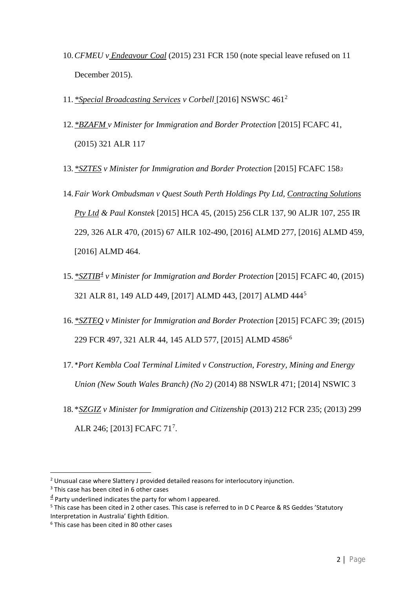- 10.*CFMEU v Endeavour Coal* (2015) 231 FCR 150 (note special leave refused on 11 December 2015).
- 11. *\*Special Broadcasting Services v Corbell* [2016] NSWSC 461[2](#page-1-0)
- 12. *\*BZAFM v Minister for Immigration and Border Protection* [2015] FCAFC 41, (2015) 321 ALR 117
- 13. *\*SZTES v Minister for Immigration and Border Protection* [2015] FCAFC 158*[3](#page-1-1)*
- 14.*Fair Work Ombudsman v Quest South Perth Holdings Pty Ltd, Contracting Solutions Pty Ltd & Paul Konstek* [2015] HCA 45, (2015) 256 CLR 137, 90 ALJR 107, 255 IR 229, 326 ALR 470, (2015) 67 AILR 102-490, [2016] ALMD 277, [2016] ALMD 459, [2016] ALMD 464.
- 15. *\*SZTIB[4](#page-1-2) v Minister for Immigration and Border Protection* [2015] FCAFC 40, (2015) 321 ALR 81, 149 ALD 449, [2017] ALMD 443, [2017] ALMD 444[5](#page-1-3)
- 16. *\*SZTEQ v Minister for Immigration and Border Protection* [2015] FCAFC 39; (2015) 229 FCR 497, 321 ALR 44, 145 ALD 577, [2015] ALMD 4586[6](#page-1-4)
- 17. \**Port Kembla Coal Terminal Limited v Construction, Forestry, Mining and Energy Union (New South Wales Branch) (No 2)* (2014) 88 NSWLR 471; [2014] NSWIC 3
- 18. \**SZGIZ v Minister for Immigration and Citizenship* (2013) 212 FCR 235; (2013) 299 ALR 246; [2013] [FCAFC](http://www.austlii.edu.au/cgi-bin/sinodisp/au/cases/cth/FCAFC/2013/71.html?query=) [7](#page-1-5)1<sup>7</sup>.

<span id="page-1-5"></span><span id="page-1-0"></span><sup>&</sup>lt;sup>2</sup> Unusual case where Slattery J provided detailed reasons for interlocutory injunction.

<span id="page-1-1"></span><sup>&</sup>lt;sup>3</sup> This case has been cited in 6 other cases

<span id="page-1-2"></span> $4$  Party underlined indicates the party for whom I appeared.

<span id="page-1-3"></span><sup>5</sup> This case has been cited in 2 other cases. This case is referred to in D C Pearce & RS Geddes 'Statutory Interpretation in Australia' Eighth Edition.

<span id="page-1-4"></span><sup>6</sup> This case has been cited in 80 other cases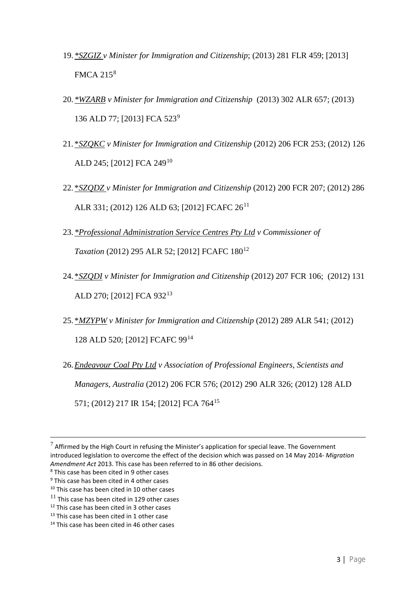- 19. *\*SZGIZ v Minister for Immigration and Citizenship*; (2013) 281 FLR 459; [\[2013\]](http://www.austlii.edu.au/cgi-bin/sinodisp/au/cases/cth/FMCA/2013/215.html?query=) [FMCA](http://www.austlii.edu.au/cgi-bin/sinodisp/au/cases/cth/FMCA/2013/215.html?query=) 215[8](#page-2-0)
- 20. *\*WZARB v Minister for Immigration and Citizenship* (2013) 302 ALR 657; (2013) 136 ALD 77; [\[2013\]](http://www.austlii.edu.au/cgi-bin/sinodisp/au/cases/cth/FCA/2013/523.html?query=) FCA 523[9](#page-2-1)
- 21. \**SZQKC v Minister for Immigration and Citizenship* (2012) 206 FCR 253; (2012) 126 ALD 245; [\[2012\]](http://www.austlii.edu.au/cgi-bin/sinodisp/au/cases/cth/FCA/2012/249.html?query=) FCA 249[10](#page-2-2)
- 22. \**SZQDZ v Minister for Immigration and Citizenship* (2012) 200 FCR 207; (2012) 286 ALR 331; (2012) 126 ALD 63; [2012] [FCAFC](http://www.austlii.edu.au/cgi-bin/sinodisp/au/cases/cth/FCAFC/2012/26.html?query=) 26<sup>[11](#page-2-3)</sup>
- 23. *\*Professional Administration Service Centres Pty Ltd v Commissioner of Taxation* (2012) 295 ALR 52; [2012] [FCAFC](http://www.austlii.edu.au/cgi-bin/sinodisp/au/cases/cth/FCAFC/2012/180.html?query=) 180<sup>[12](#page-2-4)</sup>
- 24. \**SZQDI v Minister for Immigration and Citizenship* [\(2012\)](http://www.austlii.edu.au/cgi-bin/sinodisp/au/cases/cth/FCA/2012/932.html?query=) 207 FCR 106; (2012) 131 ALD 270; [2012] FCA 932[13](#page-2-5)
- 25. \**MZYPW v Minister for Immigration and Citizenship* (2012) 289 ALR 541; (2012) 128 ALD 520; [2012] [FCAFC](http://www.austlii.edu.au/cgi-bin/sinodisp/au/cases/cth/FCAFC/2012/99.html?query=) 99[14](#page-2-6)
- 26.*Endeavour Coal Pty Ltd v Association of Professional Engineers, Scientists and Managers, Australia* (2012) 206 FCR 576; (2012) 290 ALR 326; (2012) 128 ALD 571; (2012) 217 IR 154; [\[2012\]](http://www.austlii.edu.au/cgi-bin/sinodisp/au/cases/cth/FCA/2012/764.html?query=) FCA 764[15](#page-2-7)

<span id="page-2-7"></span> $7$  Affirmed by the High Court in refusing the Minister's application for special leave. The Government introduced legislation to overcome the effect of the decision which was passed on 14 May 2014- *Migration Amendment Act* 2013. This case has been referred to in 86 other decisions.

<span id="page-2-0"></span><sup>8</sup> This case has been cited in 9 other cases

<span id="page-2-1"></span> $9$  This case has been cited in 4 other cases

<span id="page-2-2"></span><sup>&</sup>lt;sup>10</sup> This case has been cited in 10 other cases

<span id="page-2-3"></span> $11$  This case has been cited in 129 other cases

<span id="page-2-4"></span><sup>&</sup>lt;sup>12</sup> This case has been cited in 3 other cases

<span id="page-2-5"></span><sup>&</sup>lt;sup>13</sup> This case has been cited in 1 other case

<span id="page-2-6"></span><sup>&</sup>lt;sup>14</sup> This case has been cited in 46 other cases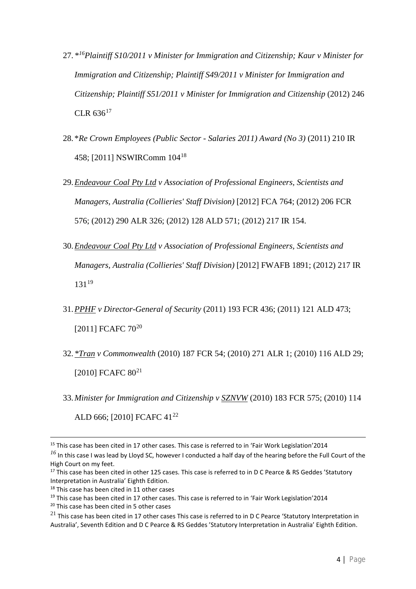- 27. *\*[16](#page-3-0)Plaintiff S10/2011 v Minister for Immigration and Citizenship; Kaur v Minister for Immigration and Citizenship; Plaintiff S49/2011 v Minister for Immigration and Citizenship; Plaintiff S51/2011 v Minister for Immigration and Citizenship* (2012) 246  $CLR 636<sup>17</sup>$  $CLR 636<sup>17</sup>$  $CLR 636<sup>17</sup>$
- 28. \**Re Crown Employees (Public Sector - Salaries 2011) Award (No 3)* (2011) 210 IR 458; [2011] [NSWIRComm](http://www.austlii.edu.au/cgi-bin/sinodisp/au/cases/nsw/NSWIRComm/2011/104.html?query=) 104[18](#page-3-2)
- 29.*Endeavour Coal Pty Ltd v Association of Professional Engineers, Scientists and Managers, Australia (Collieries' Staff Division)* [2012] FCA 764; (2012) 206 FCR 576; (2012) 290 ALR 326; (2012) 128 ALD 571; (2012) 217 IR 154.
- 30.*Endeavour Coal Pty Ltd v Association of Professional Engineers, Scientists and Managers, Australia (Collieries' Staff Division)* [2012] FWAFB 1891; (2012) 217 IR  $131^{19}$  $131^{19}$  $131^{19}$
- 31.*PPHF v Director-General of Security* (2011) 193 FCR 436; (2011) 121 ALD 473; [2011] [FCAFC](http://www.austlii.edu.au/cgi-bin/sinodisp/au/cases/cth/FCAFC/2011/70.html?query=) 70<sup>[20](#page-3-4)</sup>
- 32. *\*Tran v Commonwealth* (2010) 187 FCR 54; (2010) 271 ALR 1; (2010) 116 ALD 29; [2010] [FCAFC](http://www.austlii.edu.au/cgi-bin/sinodisp/au/cases/cth/FCAFC/2010/80.html?query=) 80<sup>[21](#page-3-5)</sup>
- 33.*Minister for Immigration and Citizenship v SZNVW* (2010) 183 FCR 575; (2010) 114 ALD 666; [2010] [FCAFC](http://www.austlii.edu.au/cgi-bin/sinodisp/au/cases/cth/FCAFC/2010/41.html?query=) 41<sup>[22](#page-3-6)</sup>

<span id="page-3-6"></span> $\overline{a}$ <sup>15</sup> This case has been cited in 17 other cases. This case is referred to in 'Fair Work Legislation'2014

<span id="page-3-0"></span>*<sup>16</sup>* In this case I was lead by Lloyd SC, however I conducted a half day of the hearing before the Full Court of the High Court on my feet.

<span id="page-3-1"></span><sup>&</sup>lt;sup>17</sup> This case has been cited in other 125 cases. This case is referred to in D C Pearce & RS Geddes 'Statutory Interpretation in Australia' Eighth Edition.

<span id="page-3-2"></span><sup>&</sup>lt;sup>18</sup> This case has been cited in 11 other cases

<span id="page-3-3"></span><sup>&</sup>lt;sup>19</sup> This case has been cited in 17 other cases. This case is referred to in 'Fair Work Legislation'2014

<span id="page-3-4"></span><sup>&</sup>lt;sup>20</sup> This case has been cited in 5 other cases

<span id="page-3-5"></span> $^{21}$  This case has been cited in 17 other cases This case is referred to in D C Pearce 'Statutory Interpretation in Australia', Seventh Edition and D C Pearce & RS Geddes 'Statutory Interpretation in Australia' Eighth Edition.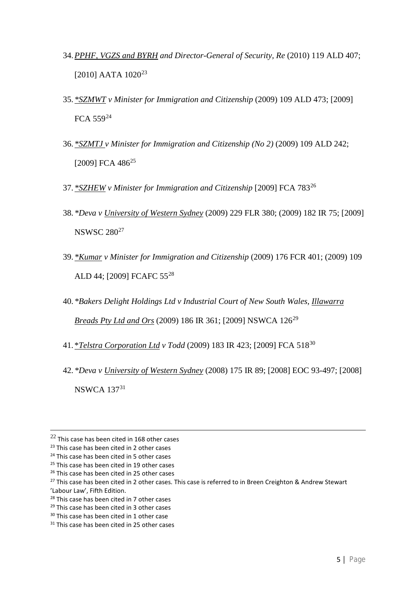- 34.*PPHF, VGZS and BYRH and Director-General of Security, Re* (2010) 119 ALD 407; [2010] [AATA](http://www.austlii.edu.au/cgi-bin/sinodisp/au/cases/cth/AATA/2010/1020.html?query=) 1020<sup>[23](#page-4-0)</sup>
- 35. *\*SZMWT v Minister for Immigration and Citizenship* (2009) 109 ALD 473; [\[2009\]](http://www.austlii.edu.au/cgi-bin/sinodisp/au/cases/cth/FCA/2009/559.html?query=) [FCA](http://www.austlii.edu.au/cgi-bin/sinodisp/au/cases/cth/FCA/2009/559.html?query=) 559[24](#page-4-1)
- 36. *\*SZMTJ v Minister for Immigration and Citizenship (No 2)* (2009) 109 ALD 242; [\[2009\]](http://www.austlii.edu.au/cgi-bin/sinodisp/au/cases/cth/FCA/2009/486.html?query=) FCA 486<sup>[25](#page-4-2)</sup>
- 37. *\*SZHEW v Minister for Immigration and Citizenship* [\[2009\]](http://www.austlii.edu.au/cgi-bin/sinodisp/au/cases/cth/FCA/2009/783.html?query=) FCA 783[26](#page-4-3)
- 38. *\*Deva v University of Western Sydney* (2009) 229 FLR 380; (2009) 182 IR 75; [\[2009\]](http://www.austlii.edu.au/cgi-bin/sinodisp/au/cases/nsw/NSWSC/2009/280.html?query=) [NSWSC](http://www.austlii.edu.au/cgi-bin/sinodisp/au/cases/nsw/NSWSC/2009/280.html?query=) 280[27](#page-4-4)
- 39. *\*Kumar v Minister for Immigration and Citizenship* (2009) 176 FCR 401; (2009) 109 ALD 44; [2009] [FCAFC](http://www.austlii.edu.au/cgi-bin/sinodisp/au/cases/cth/FCAFC/2009/55.html?query=) 55[28](#page-4-5)
- 40. *\*Bakers Delight Holdings Ltd v Industrial Court of New South Wales, Illawarra Breads Pty Ltd and Ors* (2009) 186 IR 361; [2009] [NSWCA](http://www.austlii.edu.au/cgi-bin/sinodisp/au/cases/nsw/NSWCA/2009/126.html?query=) 126[29](#page-4-6)
- 41. \**Telstra Corporation Ltd v Todd* (2009) 183 IR 423; [\[2009\]](http://www.austlii.edu.au/cgi-bin/sinodisp/au/cases/cth/FCA/2009/518.html?query=) FCA 518[30](#page-4-7)
- 42. *\*Deva v University of Western Sydney* (2008) 175 IR 89; [2008] EOC 93-497; [\[2008\]](http://www.austlii.edu.au/cgi-bin/sinodisp/au/cases/nsw/NSWCA/2008/137.html?query=) [NSWCA](http://www.austlii.edu.au/cgi-bin/sinodisp/au/cases/nsw/NSWCA/2008/137.html?query=) 137[31](#page-4-8)

'Labour Law', Fifth Edition.

 $22$  This case has been cited in 168 other cases

<span id="page-4-0"></span><sup>&</sup>lt;sup>23</sup> This case has been cited in 2 other cases

<span id="page-4-1"></span><sup>&</sup>lt;sup>24</sup> This case has been cited in 5 other cases

<span id="page-4-2"></span><sup>&</sup>lt;sup>25</sup> This case has been cited in 19 other cases

<span id="page-4-3"></span><sup>&</sup>lt;sup>26</sup> This case has been cited in 25 other cases

<span id="page-4-4"></span><sup>&</sup>lt;sup>27</sup> This case has been cited in 2 other cases. This case is referred to in Breen Creighton & Andrew Stewart

<span id="page-4-5"></span><sup>&</sup>lt;sup>28</sup> This case has been cited in 7 other cases

<span id="page-4-6"></span><sup>&</sup>lt;sup>29</sup> This case has been cited in 3 other cases

<span id="page-4-7"></span><sup>&</sup>lt;sup>30</sup> This case has been cited in 1 other case

<span id="page-4-8"></span><sup>&</sup>lt;sup>31</sup> This case has been cited in 25 other cases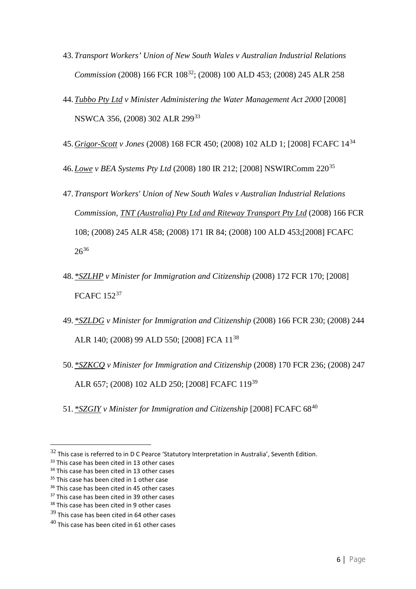- 43.*Transport Workers' Union of New South Wales v Australian Industrial Relations Commission* (2008) 166 FCR 108<sup>[32](#page-5-0)</sup>; (2008) 100 ALD 453; (2008) 245 ALR 258
- 44.*Tubbo Pty Ltd v Minister Administering the Water Management Act 2000* [\[2008\]](http://www.austlii.edu.au/cgi-bin/sinodisp/au/cases/nsw/NSWCA/2008/356.html?query=) [NSWCA](http://www.austlii.edu.au/cgi-bin/sinodisp/au/cases/nsw/NSWCA/2008/356.html?query=) 356, (2008) 302 ALR 299[33](#page-5-1)
- 45.*Grigor-Scott v Jones* (2008) 168 FCR 450; (2008) 102 ALD 1; [2008] [FCAFC](http://www.austlii.edu.au/cgi-bin/sinodisp/au/cases/cth/FCAFC/2008/14.html?query=) 14[34](#page-5-2)
- 46.*Lowe v BEA Systems Pty Ltd* (2008) 180 IR 212; [2008] [NSWIRComm](http://www.austlii.edu.au/cgi-bin/sinodisp/au/cases/nsw/NSWIRComm/2008/220.html?query=) 220[35](#page-5-3)
- 47.*Transport Workers' Union of New South Wales v Australian Industrial Relations Commission, TNT (Australia) Pty Ltd and Riteway Transport Pty Ltd* (2008) 166 FCR 108; (2008) 245 ALR 458; (2008) 171 IR 84; (2008) 100 ALD 453;[2008] [FCAFC](http://www.austlii.edu.au/cgi-bin/sinodisp/au/cases/cth/FCAFC/2008/26.html?query=)  $26^{36}$  $26^{36}$  $26^{36}$  $26^{36}$
- 48. *\*SZLHP v Minister for Immigration and Citizenship* (2008) 172 FCR 170; [\[2008\]](http://www.austlii.edu.au/cgi-bin/sinodisp/au/cases/cth/FCAFC/2008/152.html?query=) [FCAFC](http://www.austlii.edu.au/cgi-bin/sinodisp/au/cases/cth/FCAFC/2008/152.html?query=) 152[37](#page-5-5)
- 49. *\*SZLDG v Minister for Immigration and Citizenship* (2008) 166 FCR 230; (2008) 244 ALR 140; (2008) 99 ALD 550; [\[2008\]](http://www.austlii.edu.au/cgi-bin/sinodisp/au/cases/cth/FCA/2008/11.html?query=) FCA 11[38](#page-5-6)
- 50. *\*SZKCQ v Minister for Immigration and Citizenship* (2008) 170 FCR 236; (2008) 247 ALR 657; (2008) 102 ALD 250; [2008] [FCAFC](http://www.austlii.edu.au/cgi-bin/sinodisp/au/cases/cth/FCAFC/2008/119.html?query=) 119[39](#page-5-7)
- 51. *\*SZGIY v Minister for Immigration and Citizenship* [2008] [FCAFC](http://www.austlii.edu.au/cgi-bin/sinodisp/au/cases/cth/FCAFC/2008/68.html?query=) 68[40](#page-5-8)

<span id="page-5-0"></span> $32$  This case is referred to in D C Pearce 'Statutory Interpretation in Australia', Seventh Edition.

<span id="page-5-1"></span><sup>&</sup>lt;sup>33</sup> This case has been cited in 13 other cases

<span id="page-5-2"></span><sup>&</sup>lt;sup>34</sup> This case has been cited in 13 other cases

<span id="page-5-3"></span><sup>&</sup>lt;sup>35</sup> This case has been cited in 1 other case

<span id="page-5-4"></span><sup>&</sup>lt;sup>36</sup> This case has been cited in 45 other cases

<span id="page-5-5"></span><sup>&</sup>lt;sup>37</sup> This case has been cited in 39 other cases

<span id="page-5-6"></span><sup>&</sup>lt;sup>38</sup> This case has been cited in 9 other cases

<span id="page-5-7"></span> $39$  This case has been cited in 64 other cases

<span id="page-5-8"></span> $40$  This case has been cited in 61 other cases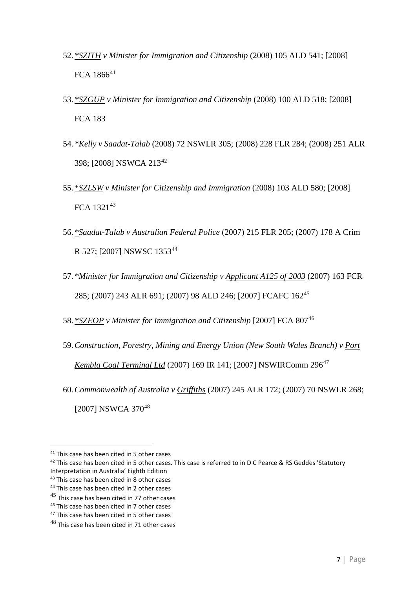- 52. *\*SZITH v Minister for Immigration and Citizenship* (2008) 105 ALD 541; [\[2008\]](http://www.austlii.edu.au/cgi-bin/sinodisp/au/cases/cth/FCA/2008/1866.html?query=) FCA [1866](http://www.austlii.edu.au/cgi-bin/sinodisp/au/cases/cth/FCA/2008/1866.html?query=)<sup>[41](#page-6-0)</sup>
- 53. *\*SZGUP v Minister for Immigration and Citizenship* (2008) 100 ALD 518; [\[2008\]](http://www.austlii.edu.au/cgi-bin/sinodisp/au/cases/cth/FCA/2008/183.html?query=) [FCA](http://www.austlii.edu.au/cgi-bin/sinodisp/au/cases/cth/FCA/2008/183.html?query=) 183
- 54. *\*Kelly v Saadat-Talab* (2008) 72 NSWLR 305; (2008) 228 FLR 284; (2008) 251 ALR 398; [2008] [NSWCA](http://www.austlii.edu.au/cgi-bin/sinodisp/au/cases/nsw/NSWCA/2008/213.html?query=) 213[42](#page-6-1)
- 55. \**SZLSW v Minister for Citizenship and Immigration* (2008) 103 ALD 580; [\[2008\]](http://www.austlii.edu.au/cgi-bin/sinodisp/au/cases/cth/FCA/2008/1321.html?query=) FCA [1321](http://www.austlii.edu.au/cgi-bin/sinodisp/au/cases/cth/FCA/2008/1321.html?query=)<sup>[43](#page-6-2)</sup>
- 56. *\*Saadat-Talab v Australian Federal Police* (2007) 215 FLR 205; (2007) 178 A Crim R 527; [2007] [NSWSC](http://www.austlii.edu.au/cgi-bin/sinodisp/au/cases/nsw/NSWSC/2007/1353.html?query=) 1353[44](#page-6-3)
- 57. *\*Minister for Immigration and Citizenship v Applicant A125 of 2003* (2007) 163 FCR 285; (2007) 243 ALR 691; (2007) 98 ALD 246; [2007] [FCAFC](http://www.austlii.edu.au/cgi-bin/sinodisp/au/cases/cth/FCAFC/2007/162.html?query=) 162[45](#page-6-4)
- 58. *\*SZEOP v Minister for Immigration and Citizenship* [\[2007\]](http://www.austlii.edu.au/cgi-bin/sinodisp/au/cases/cth/FCA/2007/807.html?query=) FCA 807[46](#page-6-5)
- 59.*Construction, Forestry, Mining and Energy Union (New South Wales Branch) v Port Kembla Coal Terminal Ltd* (2007) 169 IR 141; [2007] [NSWIRComm](http://www.austlii.edu.au/cgi-bin/sinodisp/au/cases/nsw/NSWIRComm/2007/296.html?query=) 296[47](#page-6-6)
- 60.*Commonwealth of Australia v Griffiths* (2007) 245 ALR 172; (2007) 70 NSWLR 268; [2007] [NSWCA](http://www.austlii.edu.au/cgi-bin/sinodisp/au/cases/nsw/NSWCA/2007/370.html?query=) 370<sup>[48](#page-6-7)</sup>

<span id="page-6-0"></span><sup>&</sup>lt;sup>41</sup> This case has been cited in 5 other cases

<span id="page-6-1"></span><sup>&</sup>lt;sup>42</sup> This case has been cited in 5 other cases. This case is referred to in D C Pearce & RS Geddes 'Statutory Interpretation in Australia' Eighth Edition

<span id="page-6-2"></span><sup>&</sup>lt;sup>43</sup> This case has been cited in 8 other cases

<span id="page-6-3"></span><sup>&</sup>lt;sup>44</sup> This case has been cited in 2 other cases

<span id="page-6-4"></span> $45$  This case has been cited in 77 other cases

<span id="page-6-5"></span><sup>46</sup> This case has been cited in 7 other cases

<span id="page-6-6"></span><sup>&</sup>lt;sup>47</sup> This case has been cited in 5 other cases

<span id="page-6-7"></span><sup>&</sup>lt;sup>48</sup> This case has been cited in 71 other cases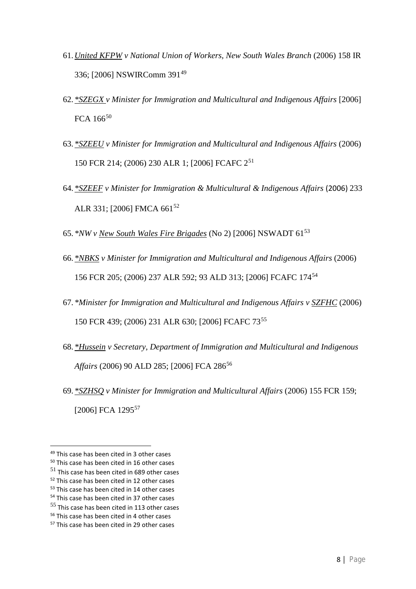- 61.*United KFPW v National Union of Workers, New South Wales Branch* (2006) 158 IR 336; [2006] [NSWIRComm](http://www.austlii.edu.au/cgi-bin/sinodisp/au/cases/nsw/NSWIRComm/2006/391.html?query=) 391[49](#page-7-0)
- 62. *\*SZEGX v Minister for Immigration and Multicultural and Indigenous Affairs* [\[2006\]](http://www.austlii.edu.au/cgi-bin/sinodisp/au/cases/cth/FCA/2006/166.html?query=) [FCA](http://www.austlii.edu.au/cgi-bin/sinodisp/au/cases/cth/FCA/2006/166.html?query=) 166<sup>[50](#page-7-1)</sup>
- 63. *\*SZEEU v Minister for Immigration and Multicultural and Indigenous Affairs* (2006) 150 FCR 214; (2006) 230 ALR 1; [2006] [FCAFC](http://www.austlii.edu.au/cgi-bin/sinodisp/au/cases/cth/FCAFC/2006/2.html?query=) 2[51](#page-7-2)
- 64. *\*SZEEF v Minister for Immigration & Multicultural & Indigenous Affairs* (2006) 233 ALR 331; [2006] [FMCA](http://www.austlii.edu.au/cgi-bin/sinodisp/au/cases/cth/FMCA/2006/661.html?query=) 661<sup>[52](#page-7-3)</sup>
- 65. *\*NW v New South Wales Fire Brigades* (No 2) [2006] [NSWADT](http://www.austlii.edu.au/cgi-bin/sinodisp/au/cases/nsw/NSWADT/2006/61.html?query=) 61[53](#page-7-4)
- 66. *\*NBKS v Minister for Immigration and Multicultural and Indigenous Affairs* (2006) 156 FCR 205; (2006) 237 ALR 592; 93 ALD 313; [2006] [FCAFC](http://www.austlii.edu.au/cgi-bin/sinodisp/au/cases/cth/FCAFC/2006/174.html?query=) 174[54](#page-7-5)
- 67. *\*Minister for Immigration and Multicultural and Indigenous Affairs v SZFHC* (2006) 150 FCR 439; (2006) 231 ALR 630; [2006] [FCAFC](http://www.austlii.edu.au/cgi-bin/sinodisp/au/cases/cth/FCAFC/2006/73.html?query=) 73[55](#page-7-6)
- 68. *\*Hussein v Secretary, Department of Immigration and Multicultural and Indigenous Affairs* (2006) 90 ALD 285; [\[2006\]](http://www.austlii.edu.au/cgi-bin/sinodisp/au/cases/cth/FCA/2006/286.html?query=) FCA 286<sup>[56](#page-7-7)</sup>
- 69. *\*SZHSQ v Minister for Immigration and Multicultural Affairs* (2006) 155 FCR 159; [\[2006\]](http://www.austlii.edu.au/cgi-bin/sinodisp/au/cases/cth/FCA/2006/1295.html?query=) FCA 1295<sup>[57](#page-7-8)</sup>

<span id="page-7-0"></span><sup>&</sup>lt;sup>49</sup> This case has been cited in 3 other cases

<span id="page-7-1"></span><sup>50</sup> This case has been cited in 16 other cases

<span id="page-7-2"></span> $51$  This case has been cited in 689 other cases

<span id="page-7-3"></span><sup>&</sup>lt;sup>52</sup> This case has been cited in 12 other cases

<span id="page-7-4"></span><sup>53</sup> This case has been cited in 14 other cases

<span id="page-7-5"></span><sup>&</sup>lt;sup>54</sup> This case has been cited in 37 other cases

<span id="page-7-6"></span><sup>55</sup> This case has been cited in 113 other cases

<span id="page-7-7"></span><sup>56</sup> This case has been cited in 4 other cases

<span id="page-7-8"></span><sup>&</sup>lt;sup>57</sup> This case has been cited in 29 other cases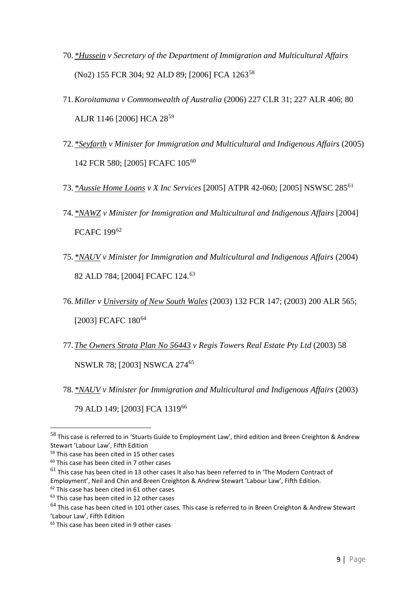- 70. *\*Hussein v Secretary of the Department of Immigration and Multicultural Affairs* (No2) 155 FCR 304; 92 ALD 89; [\[2006\]](http://www.austlii.edu.au/cgi-bin/sinodisp/au/cases/cth/FCA/2006/1263.html?query=) FCA 1263<sup>[58](#page-8-0)</sup>
- 71.*Koroitamana v Commonwealth of Australia* (2006) 227 CLR 31; 227 ALR 406; 80 ALJR 1146 [2006] HCA 28[59](#page-8-1)
- 72. *\*Seyfarth v Minister for Immigration and Multicultural and Indigenous Affairs* (2005) 142 FCR 580; [2005] [FCAFC](http://www.austlii.edu.au/cgi-bin/sinodisp/au/cases/cth/FCAFC/2005/105.html?query=) 105[60](#page-8-2)
- 73. *\*Aussie Home Loans v X Inc Services* [2005] ATPR 42-060; [2005] [NSWSC](http://www.austlii.edu.au/cgi-bin/sinodisp/au/cases/nsw/NSWSC/2005/285.html?query=) 285[61](#page-8-3)
- 74. *\*NAWZ v Minister for Immigration and Multicultural and Indigenous Affairs* [\[2004\]](http://www.austlii.edu.au/cgi-bin/sinodisp/au/cases/cth/FCAFC/2004/199.html?query=) [FCAFC](http://www.austlii.edu.au/cgi-bin/sinodisp/au/cases/cth/FCAFC/2004/199.html?query=) 199[62](#page-8-4)
- 75. *\*NAUV v Minister for Immigration and Multicultural and Indigenous Affairs* (2004) 82 ALD 784; [2004] [FCAFC](http://www.austlii.edu.au/cgi-bin/sinodisp/au/cases/cth/FCAFC/2004/124.html?query=) 124. [63](#page-8-5)
- 76.*Miller v University of New South Wales* (2003) 132 FCR 147; (2003) 200 ALR 565; [2003] [FCAFC](http://www.austlii.edu.au/cgi-bin/sinodisp/au/cases/cth/FCAFC/2003/180.html?query=) 180<sup>[64](#page-8-6)</sup>
- 77.*The Owners Strata Plan No 56443 v Regis Towers Real Estate Pty Ltd* (2003) 58 NSWLR 78; [2003] [NSWCA](http://www.austlii.edu.au/cgi-bin/sinodisp/au/cases/nsw/NSWCA/2003/274.html?query=) 274[65](#page-8-7)
- 78. *\*NAUV v Minister for Immigration and Multicultural and Indigenous Affairs* (2003) 79 ALD 149; [\[2003\]](http://www.austlii.edu.au/cgi-bin/sinodisp/au/cases/cth/FCA/2003/1319.html?query=) FCA 1319[66](#page-8-8)

<span id="page-8-3"></span> $61$  This case has been cited in 13 other cases It also has been referred to in 'The Modern Contract of Employment', Neil and Chin and Breen Creighton & Andrew Stewart 'Labour Law', Fifth Edition.

<span id="page-8-0"></span> <sup>58</sup> This case is referred to in 'Stuarts Guide to Employment Law', third edition and Breen Creighton & Andrew Stewart 'Labour Law', Fifth Edition

<span id="page-8-8"></span><span id="page-8-1"></span><sup>&</sup>lt;sup>59</sup> This case has been cited in 15 other cases

<span id="page-8-2"></span><sup>60</sup> This case has been cited in 7 other cases

<span id="page-8-4"></span><sup>&</sup>lt;sup>62</sup> This case has been cited in 61 other cases

<span id="page-8-5"></span><sup>&</sup>lt;sup>63</sup> This case has been cited in 12 other cases

<span id="page-8-6"></span> $^{64}$  This case has been cited in 101 other cases. This case is referred to in Breen Creighton & Andrew Stewart 'Labour Law', Fifth Edition

<span id="page-8-7"></span><sup>&</sup>lt;sup>65</sup> This case has been cited in 9 other cases